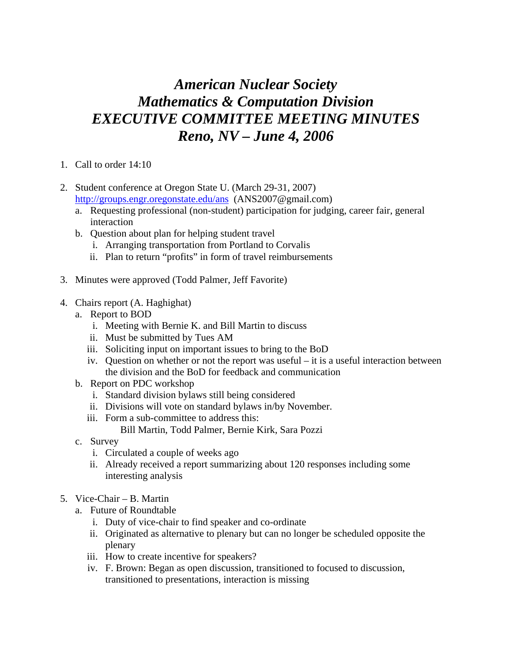# *American Nuclear Society Mathematics & Computation Division EXECUTIVE COMMITTEE MEETING MINUTES Reno, NV – June 4, 2006*

- 1. Call to order 14:10
- 2. Student conference at Oregon State U. (March 29-31, 2007) http://groups.engr.oregonstate.edu/ans (ANS2007@gmail.com)
	- a. Requesting professional (non-student) participation for judging, career fair, general interaction
	- b. Question about plan for helping student travel
		- i. Arranging transportation from Portland to Corvalis
		- ii. Plan to return "profits" in form of travel reimbursements
- 3. Minutes were approved (Todd Palmer, Jeff Favorite)
- 4. Chairs report (A. Haghighat)
	- a. Report to BOD
		- i. Meeting with Bernie K. and Bill Martin to discuss
		- ii. Must be submitted by Tues AM
		- iii. Soliciting input on important issues to bring to the BoD
		- iv. Question on whether or not the report was useful it is a useful interaction between the division and the BoD for feedback and communication
	- b. Report on PDC workshop
		- i. Standard division bylaws still being considered
		- ii. Divisions will vote on standard bylaws in/by November.
		- iii. Form a sub-committee to address this:
			- Bill Martin, Todd Palmer, Bernie Kirk, Sara Pozzi
	- c. Survey
		- i. Circulated a couple of weeks ago
		- ii. Already received a report summarizing about 120 responses including some interesting analysis
- 5. Vice-Chair B. Martin
	- a. Future of Roundtable
		- i. Duty of vice-chair to find speaker and co-ordinate
		- ii. Originated as alternative to plenary but can no longer be scheduled opposite the plenary
		- iii. How to create incentive for speakers?
		- iv. F. Brown: Began as open discussion, transitioned to focused to discussion, transitioned to presentations, interaction is missing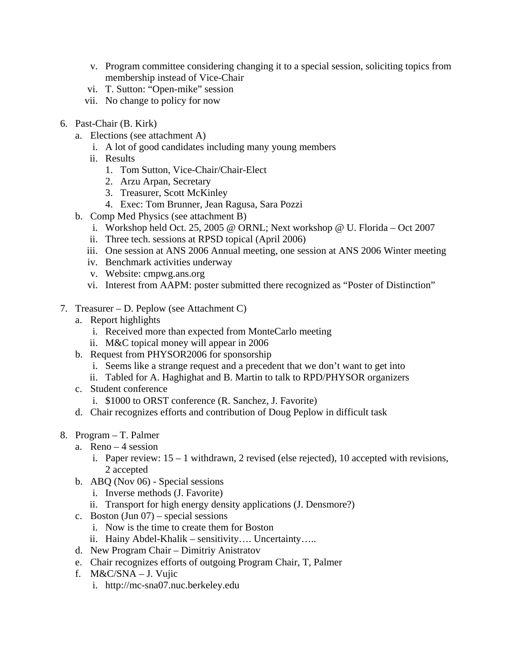- v. Program committee considering changing it to a special session, soliciting topics from membership instead of Vice-Chair
- vi. T. Sutton: "Open-mike" session
- vii. No change to policy for now
- 6. Past-Chair (B. Kirk)
	- a. Elections (see attachment A)
		- i. A lot of good candidates including many young members
		- ii. Results
			- 1. Tom Sutton, Vice-Chair/Chair-Elect
			- 2. Arzu Arpan, Secretary
			- 3. Treasurer, Scott McKinley
			- 4. Exec: Tom Brunner, Jean Ragusa, Sara Pozzi
	- b. Comp Med Physics (see attachment B)
		- i. Workshop held Oct. 25, 2005 @ ORNL; Next workshop @ U. Florida Oct 2007
		- ii. Three tech. sessions at RPSD topical (April 2006)
		- iii. One session at ANS 2006 Annual meeting, one session at ANS 2006 Winter meeting
		- iv. Benchmark activities underway
		- v. Website: cmpwg.ans.org
		- vi. Interest from AAPM: poster submitted there recognized as "Poster of Distinction"
- 7. Treasurer D. Peplow (see Attachment C)
	- a. Report highlights
		- i. Received more than expected from MonteCarlo meeting
		- ii. M&C topical money will appear in 2006
	- b. Request from PHYSOR2006 for sponsorship
		- i. Seems like a strange request and a precedent that we don't want to get into
		- ii. Tabled for A. Haghighat and B. Martin to talk to RPD/PHYSOR organizers
	- c. Student conference
		- i. \$1000 to ORST conference (R. Sanchez, J. Favorite)
	- d. Chair recognizes efforts and contribution of Doug Peplow in difficult task
- 8. Program T. Palmer
	- a. Reno 4 session
		- i. Paper review: 15 1 withdrawn, 2 revised (else rejected), 10 accepted with revisions, 2 accepted
	- b. ABQ (Nov 06) Special sessions
		- i. Inverse methods (J. Favorite)
		- ii. Transport for high energy density applications (J. Densmore?)
	- c. Boston (Jun  $07$ ) special sessions
		- i. Now is the time to create them for Boston
		- ii. Hainy Abdel-Khalik sensitivity…. Uncertainty…..
	- d. New Program Chair Dimitriy Anistratov
	- e. Chair recognizes efforts of outgoing Program Chair, T, Palmer
	- f. M&C/SNA J. Vujic
		- i. http://mc-sna07.nuc.berkeley.edu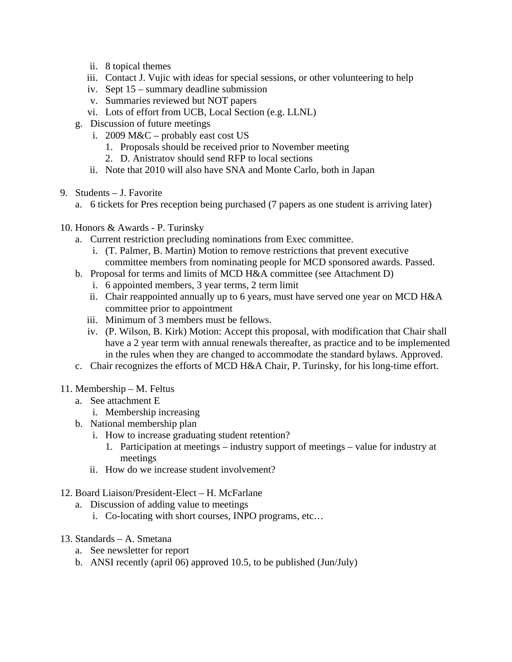- ii. 8 topical themes
- iii. Contact J. Vujic with ideas for special sessions, or other volunteering to help
- iv. Sept 15 summary deadline submission
- v. Summaries reviewed but NOT papers
- vi. Lots of effort from UCB, Local Section (e.g. LLNL)
- g. Discussion of future meetings
	- i. 2009 M&C probably east cost US
		- 1. Proposals should be received prior to November meeting
		- 2. D. Anistratov should send RFP to local sections
	- ii. Note that 2010 will also have SNA and Monte Carlo, both in Japan
- 9. Students J. Favorite
	- a. 6 tickets for Pres reception being purchased (7 papers as one student is arriving later)
- 10. Honors & Awards P. Turinsky
	- a. Current restriction precluding nominations from Exec committee.
		- i. (T. Palmer, B. Martin) Motion to remove restrictions that prevent executive committee members from nominating people for MCD sponsored awards. Passed.
	- b. Proposal for terms and limits of MCD H&A committee (see Attachment D)
		- i. 6 appointed members, 3 year terms, 2 term limit
		- ii. Chair reappointed annually up to 6 years, must have served one year on MCD H&A committee prior to appointment
		- iii. Minimum of 3 members must be fellows.
		- iv. (P. Wilson, B. Kirk) Motion: Accept this proposal, with modification that Chair shall have a 2 year term with annual renewals thereafter, as practice and to be implemented in the rules when they are changed to accommodate the standard bylaws. Approved.
	- c. Chair recognizes the efforts of MCD H&A Chair, P. Turinsky, for his long-time effort.
- 11. Membership M. Feltus
	- a. See attachment E
		- i. Membership increasing
	- b. National membership plan
		- i. How to increase graduating student retention?
			- 1. Participation at meetings industry support of meetings value for industry at meetings
		- ii. How do we increase student involvement?
- 12. Board Liaison/President-Elect H. McFarlane
	- a. Discussion of adding value to meetings
		- i. Co-locating with short courses, INPO programs, etc…
- 13. Standards A. Smetana
	- a. See newsletter for report
	- b. ANSI recently (april 06) approved 10.5, to be published (Jun/July)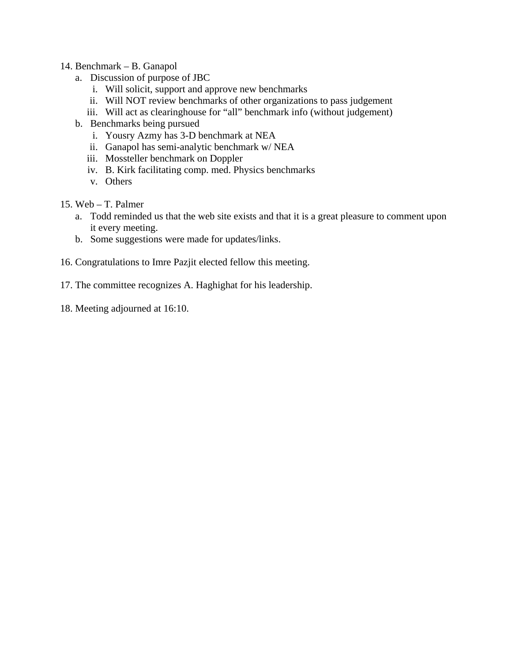#### 14. Benchmark – B. Ganapol

- a. Discussion of purpose of JBC
	- i. Will solicit, support and approve new benchmarks
	- ii. Will NOT review benchmarks of other organizations to pass judgement
	- iii. Will act as clearinghouse for "all" benchmark info (without judgement)
- b. Benchmarks being pursued
	- i. Yousry Azmy has 3-D benchmark at NEA
	- ii. Ganapol has semi-analytic benchmark w/ NEA
	- iii. Mossteller benchmark on Doppler
	- iv. B. Kirk facilitating comp. med. Physics benchmarks
	- v. Others
- 15. Web T. Palmer
	- a. Todd reminded us that the web site exists and that it is a great pleasure to comment upon it every meeting.
	- b. Some suggestions were made for updates/links.
- 16. Congratulations to Imre Pazjit elected fellow this meeting.
- 17. The committee recognizes A. Haghighat for his leadership.
- 18. Meeting adjourned at 16:10.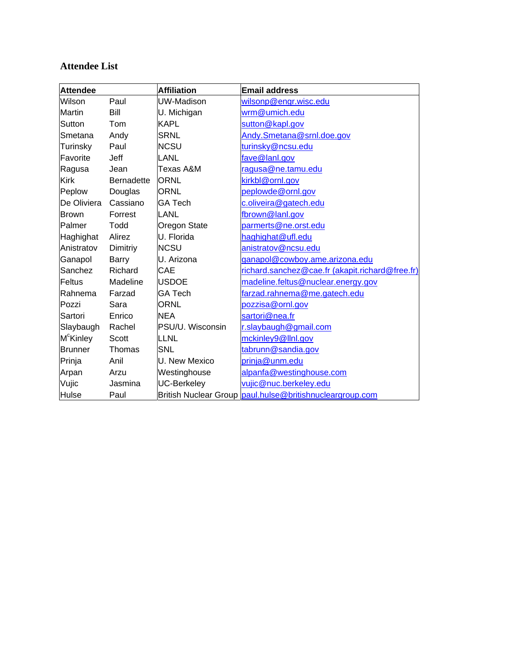# **Attendee List**

| <b>Attendee</b>       |                   | <b>Affiliation</b>  | <b>Email address</b>                                            |
|-----------------------|-------------------|---------------------|-----------------------------------------------------------------|
| Wilson                | Paul              | <b>UW-Madison</b>   | wilsonp@engr.wisc.edu                                           |
| Martin                | Bill              | U. Michigan         | wrm@umich.edu                                                   |
| Sutton                | Tom               | <b>KAPL</b>         | sutton@kapl.gov                                                 |
| Smetana               | Andy              | <b>SRNL</b>         | Andy.Smetana@srnl.doe.gov                                       |
| Turinsky              | Paul              | <b>NCSU</b>         | turinsky@ncsu.edu                                               |
| Favorite              | Jeff              | LANL                | fave@lanl.gov                                                   |
| Ragusa                | Jean              | Texas A&M           | ragusa@ne.tamu.edu                                              |
| <b>Kirk</b>           | <b>Bernadette</b> | <b>ORNL</b>         | kirkbl@ornl.gov                                                 |
| Peplow                | Douglas           | <b>ORNL</b>         | peplowde@ornl.gov                                               |
| De Oliviera           | Cassiano          | lGA Tech            | c.oliveira@gatech.edu                                           |
| <b>Brown</b>          | Forrest           | LANL                | fbrown@lanl.gov                                                 |
| Palmer                | Todd              | <b>Oregon State</b> | parmerts@ne.orst.edu                                            |
| Haghighat             | Alirez            | U. Florida          | haghighat@ufl.edu                                               |
| Anistratov            | <b>Dimitriy</b>   | <b>NCSU</b>         | anistratov@ncsu.edu                                             |
| Ganapol               | <b>Barry</b>      | U. Arizona          | ganapol@cowboy.ame.arizona.edu                                  |
| Sanchez               | Richard           | CAE                 | richard.sanchez@cae.fr (akapit.richard@free.fr)                 |
| Feltus                | Madeline          | <b>USDOE</b>        | madeline.feltus@nuclear.energy.gov                              |
| Rahnema               | Farzad            | <b>GA Tech</b>      | farzad.rahnema@me.gatech.edu                                    |
| Pozzi                 | Sara              | <b>ORNL</b>         | pozzisa@ornl.gov                                                |
| Sartori               | Enrico            | <b>NEA</b>          | sartori@nea.fr                                                  |
| Slaybaugh             | Rachel            | PSU/U. Wisconsin    | r.slaybaugh@gmail.com                                           |
| M <sup>c</sup> Kinley | Scott             | LLNL                | mckinley9@llnl.gov                                              |
| <b>Brunner</b>        | Thomas            | <b>SNL</b>          | tabrunn@sandia.gov                                              |
| Prinja                | Anil              | U. New Mexico       | prinja@unm.edu                                                  |
| Arpan                 | Arzu              | Westinghouse        | alpanfa@westinghouse.com                                        |
| Vujic                 | Jasmina           | <b>UC-Berkeley</b>  | vujic@nuc.berkeley.edu                                          |
| <b>Hulse</b>          | Paul              |                     | British Nuclear Group <b>paul.hulse@britishnucleargroup.com</b> |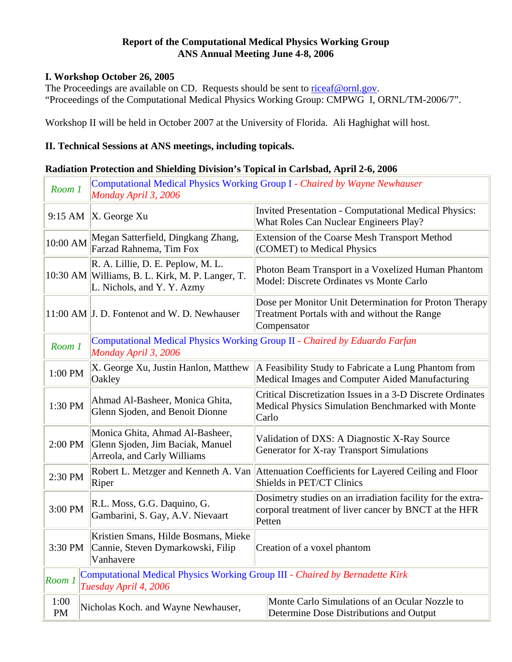# **Report of the Computational Medical Physics Working Group ANS Annual Meeting June 4-8, 2006**

# **I. Workshop October 26, 2005**

The Proceedings are available on CD. Requests should be sent to riceaf@ornl.gov. "Proceedings of the Computational Medical Physics Working Group: CMPWG I, ORNL/TM-2006/7".

Workshop II will be held in October 2007 at the University of Florida. Ali Haghighat will host.

# **II. Technical Sessions at ANS meetings, including topicals.**

# **Radiation Protection and Shielding Division's Topical in Carlsbad, April 2-6, 2006**

| Room 1                                                                     | Computational Medical Physics Working Group I - Chaired by Wayne Newhauser<br>Monday April 3, 2006                 |                                                                                                                                |  |  |  |
|----------------------------------------------------------------------------|--------------------------------------------------------------------------------------------------------------------|--------------------------------------------------------------------------------------------------------------------------------|--|--|--|
|                                                                            | 9:15 AM $\ X\$ . George Xu                                                                                         | <b>Invited Presentation - Computational Medical Physics:</b><br>What Roles Can Nuclear Engineers Play?                         |  |  |  |
| 10:00 AM                                                                   | Megan Satterfield, Dingkang Zhang,<br>Farzad Rahnema, Tim Fox                                                      | Extension of the Coarse Mesh Transport Method<br>(COMET) to Medical Physics                                                    |  |  |  |
|                                                                            | R. A. Lillie, D. E. Peplow, M. L.<br>10:30 AM Williams, B. L. Kirk, M. P. Langer, T.<br>L. Nichols, and Y. Y. Azmy | Photon Beam Transport in a Voxelized Human Phantom<br>Model: Discrete Ordinates vs Monte Carlo                                 |  |  |  |
|                                                                            | 11:00 AM J. D. Fontenot and W. D. Newhauser                                                                        | Dose per Monitor Unit Determination for Proton Therapy<br>Treatment Portals with and without the Range<br>Compensator          |  |  |  |
| Room 1                                                                     | Computational Medical Physics Working Group II - Chaired by Eduardo Farfan<br>Monday April 3, 2006                 |                                                                                                                                |  |  |  |
| 1:00 PM                                                                    | X. George Xu, Justin Hanlon, Matthew<br>Oakley                                                                     | A Feasibility Study to Fabricate a Lung Phantom from<br>Medical Images and Computer Aided Manufacturing                        |  |  |  |
| 1:30 PM                                                                    | Ahmad Al-Basheer, Monica Ghita,<br>Glenn Sjoden, and Benoit Dionne                                                 | Critical Discretization Issues in a 3-D Discrete Ordinates<br>Medical Physics Simulation Benchmarked with Monte<br>Carlo       |  |  |  |
| 2:00 PM                                                                    | Monica Ghita, Ahmad Al-Basheer,<br>Glenn Sjoden, Jim Baciak, Manuel<br>Arreola, and Carly Williams                 | Validation of DXS: A Diagnostic X-Ray Source<br>Generator for X-ray Transport Simulations                                      |  |  |  |
| 2:30 PM                                                                    | Robert L. Metzger and Kenneth A. Van<br>Riper                                                                      | Attenuation Coefficients for Layered Ceiling and Floor<br>Shields in PET/CT Clinics                                            |  |  |  |
| R.L. Moss, G.G. Daquino, G.<br>3:00 PM<br>Gambarini, S. Gay, A.V. Nievaart |                                                                                                                    | Dosimetry studies on an irradiation facility for the extra-<br>corporal treatment of liver cancer by BNCT at the HFR<br>Petten |  |  |  |
| 3:30 PM                                                                    | Kristien Smans, Hilde Bosmans, Mieke<br>Cannie, Steven Dymarkowski, Filip<br>Vanhavere                             | Creation of a voxel phantom                                                                                                    |  |  |  |
| Room 1                                                                     | Computational Medical Physics Working Group III - Chaired by Bernadette Kirk<br>Tuesday April 4, 2006              |                                                                                                                                |  |  |  |
| 1:00<br>PM                                                                 | Nicholas Koch. and Wayne Newhauser,                                                                                | Monte Carlo Simulations of an Ocular Nozzle to<br>Determine Dose Distributions and Output                                      |  |  |  |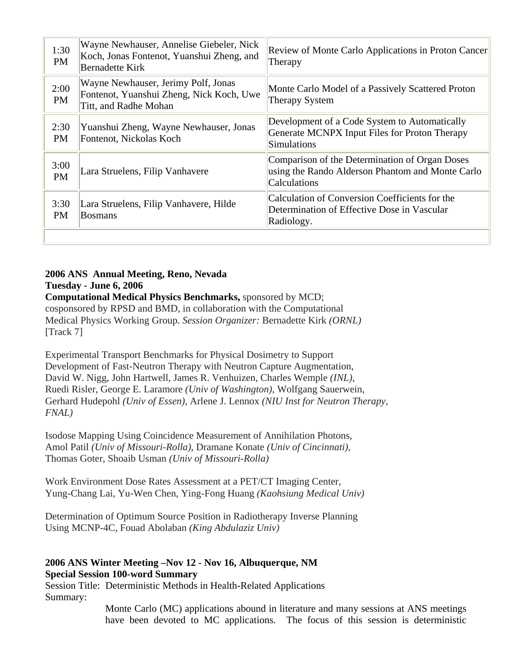| 1:30<br><b>PM</b> | Wayne Newhauser, Annelise Giebeler, Nick<br>Koch, Jonas Fontenot, Yuanshui Zheng, and<br><b>Bernadette Kirk</b> | Review of Monte Carlo Applications in Proton Cancer<br>Therapy                                                     |
|-------------------|-----------------------------------------------------------------------------------------------------------------|--------------------------------------------------------------------------------------------------------------------|
| 2:00<br><b>PM</b> | Wayne Newhauser, Jerimy Polf, Jonas<br>Fontenot, Yuanshui Zheng, Nick Koch, Uwe<br>Titt, and Radhe Mohan        | Monte Carlo Model of a Passively Scattered Proton<br>Therapy System                                                |
| 2:30<br><b>PM</b> | Yuanshui Zheng, Wayne Newhauser, Jonas<br>Fontenot, Nickolas Koch                                               | Development of a Code System to Automatically<br>Generate MCNPX Input Files for Proton Therapy<br>Simulations      |
| 3:00<br><b>PM</b> | Lara Struelens, Filip Vanhavere                                                                                 | Comparison of the Determination of Organ Doses<br>using the Rando Alderson Phantom and Monte Carlo<br>Calculations |
| 3:30<br><b>PM</b> | Lara Struelens, Filip Vanhavere, Hilde<br><b>Bosmans</b>                                                        | Calculation of Conversion Coefficients for the<br>Determination of Effective Dose in Vascular<br>Radiology.        |
|                   |                                                                                                                 |                                                                                                                    |

#### **2006 ANS Annual Meeting, Reno, Nevada Tuesday - June 6, 2006**

**Computational Medical Physics Benchmarks,** sponsored by MCD; cosponsored by RPSD and BMD, in collaboration with the Computational Medical Physics Working Group. *Session Organizer:* Bernadette Kirk *(ORNL)*  [Track 7]

Experimental Transport Benchmarks for Physical Dosimetry to Support Development of Fast-Neutron Therapy with Neutron Capture Augmentation, David W. Nigg, John Hartwell, James R. Venhuizen, Charles Wemple *(INL)*, Ruedi Risler, George E. Laramore *(Univ of Washington)*, Wolfgang Sauerwein, Gerhard Hudepohl *(Univ of Essen)*, Arlene J. Lennox *(NIU Inst for Neutron Therapy, FNAL)* 

Isodose Mapping Using Coincidence Measurement of Annihilation Photons, Amol Patil *(Univ of Missouri-Rolla)*, Dramane Konate *(Univ of Cincinnati)*, Thomas Goter, Shoaib Usman *(Univ of Missouri-Rolla)* 

Work Environment Dose Rates Assessment at a PET/CT Imaging Center, Yung-Chang Lai, Yu-Wen Chen, Ying-Fong Huang *(Kaohsiung Medical Univ)* 

Determination of Optimum Source Position in Radiotherapy Inverse Planning Using MCNP-4C, Fouad Abolaban *(King Abdulaziz Univ)*

# **2006 ANS Winter Meeting –Nov 12 - Nov 16, Albuquerque, NM Special Session 100-word Summary**

Session Title: Deterministic Methods in Health-Related Applications Summary:

Monte Carlo (MC) applications abound in literature and many sessions at ANS meetings have been devoted to MC applications. The focus of this session is deterministic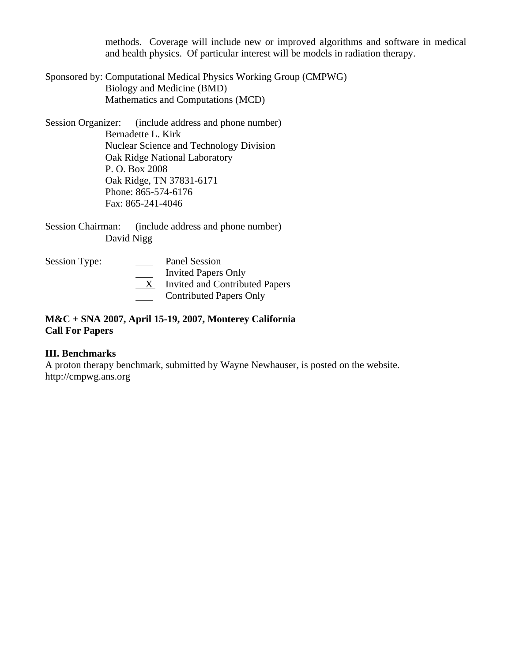methods. Coverage will include new or improved algorithms and software in medical and health physics. Of particular interest will be models in radiation therapy.

Sponsored by: Computational Medical Physics Working Group (CMPWG) Biology and Medicine (BMD) Mathematics and Computations (MCD)

Session Organizer: (include address and phone number) Bernadette L. Kirk Nuclear Science and Technology Division Oak Ridge National Laboratory P. O. Box 2008 Oak Ridge, TN 37831-6171 Phone: 865-574-6176 Fax: 865-241-4046

Session Chairman: (include address and phone number) David Nigg

Session Type: Panel Session Invited Papers Only  $X$  Invited and Contributed Papers Contributed Papers Only

## **M&C + SNA 2007, April 15-19, 2007, Monterey California Call For Papers**

#### **III. Benchmarks**

A proton therapy benchmark, submitted by Wayne Newhauser, is posted on the website. http://cmpwg.ans.org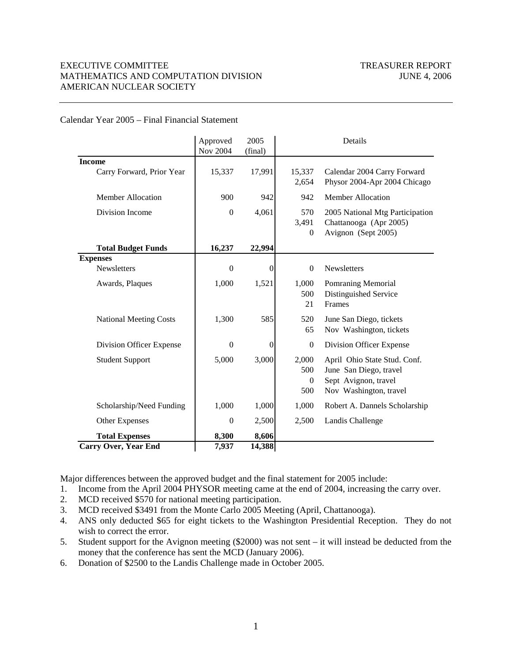#### EXECUTIVE COMMITTEE TREASURER REPORT MATHEMATICS AND COMPUTATION DIVISION **Fig. 1000** SUNE 4, 2006 AMERICAN NUCLEAR SOCIETY

|                                            | Approved<br><b>Nov 2004</b> | 2005<br>(final) | Details                                                                                                      |                                                                                                          |  |
|--------------------------------------------|-----------------------------|-----------------|--------------------------------------------------------------------------------------------------------------|----------------------------------------------------------------------------------------------------------|--|
| <b>Income</b><br>Carry Forward, Prior Year | 15,337                      | 17,991          | 15,337<br>2,654                                                                                              | Calendar 2004 Carry Forward<br>Physor 2004-Apr 2004 Chicago                                              |  |
| Member Allocation                          | 900                         | 942             | 942                                                                                                          | <b>Member Allocation</b>                                                                                 |  |
| Division Income                            | $\theta$                    | 4,061           | 2005 National Mtg Participation<br>570<br>Chattanooga (Apr 2005)<br>3,491<br>Avignon (Sept 2005)<br>$\theta$ |                                                                                                          |  |
| <b>Total Budget Funds</b>                  | 16,237                      | 22,994          |                                                                                                              |                                                                                                          |  |
| <b>Expenses</b><br><b>Newsletters</b>      | $\theta$                    | $\theta$        | $\theta$                                                                                                     | <b>Newsletters</b>                                                                                       |  |
| Awards, Plaques                            | 1,000                       | 1,521           | 1,000<br>500<br>21                                                                                           | Pomraning Memorial<br>Distinguished Service<br>Frames                                                    |  |
| <b>National Meeting Costs</b>              | 1,300                       | 585             | 520<br>65                                                                                                    | June San Diego, tickets<br>Nov Washington, tickets                                                       |  |
| Division Officer Expense                   | $\mathbf{0}$                | $\overline{0}$  | $\boldsymbol{0}$                                                                                             | Division Officer Expense                                                                                 |  |
| <b>Student Support</b>                     | 5,000                       | 3,000           | 2,000<br>500<br>$\mathbf{0}$<br>500                                                                          | April Ohio State Stud. Conf.<br>June San Diego, travel<br>Sept Avignon, travel<br>Nov Washington, travel |  |
| Scholarship/Need Funding                   | 1,000                       | 1,000           | 1,000                                                                                                        | Robert A. Dannels Scholarship                                                                            |  |
| Other Expenses                             | $\theta$                    | 2,500           | 2,500                                                                                                        | Landis Challenge                                                                                         |  |
| <b>Total Expenses</b>                      | 8,300                       | 8,606           |                                                                                                              |                                                                                                          |  |
| <b>Carry Over, Year End</b>                | 7,937                       | 14,388          |                                                                                                              |                                                                                                          |  |

#### Calendar Year 2005 – Final Financial Statement

Major differences between the approved budget and the final statement for 2005 include:

- 1. Income from the April 2004 PHYSOR meeting came at the end of 2004, increasing the carry over.
- 2. MCD received \$570 for national meeting participation.
- 3. MCD received \$3491 from the Monte Carlo 2005 Meeting (April, Chattanooga).
- 4. ANS only deducted \$65 for eight tickets to the Washington Presidential Reception. They do not wish to correct the error.
- 5. Student support for the Avignon meeting (\$2000) was not sent it will instead be deducted from the money that the conference has sent the MCD (January 2006).
- 6. Donation of \$2500 to the Landis Challenge made in October 2005.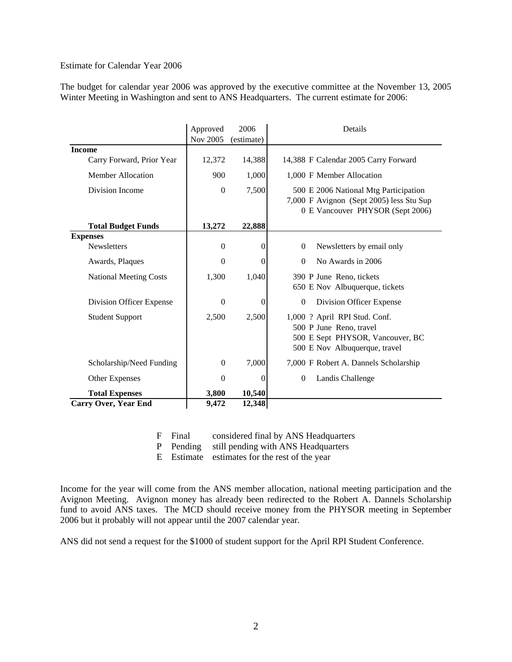Estimate for Calendar Year 2006

The budget for calendar year 2006 was approved by the executive committee at the November 13, 2005 Winter Meeting in Washington and sent to ANS Headquarters. The current estimate for 2006:

|                               | Approved<br>Nov 2005 | 2006<br>(estimate) | Details                                                                           |
|-------------------------------|----------------------|--------------------|-----------------------------------------------------------------------------------|
| <b>Income</b>                 |                      |                    |                                                                                   |
| Carry Forward, Prior Year     | 12,372               | 14,388             | 14,388 F Calendar 2005 Carry Forward                                              |
| <b>Member Allocation</b>      | 900                  | 1,000              | 1,000 F Member Allocation                                                         |
| Division Income               | $\overline{0}$       | 7,500              | 500 E 2006 National Mtg Participation<br>7,000 F Avignon (Sept 2005) less Stu Sup |
|                               |                      |                    | 0 E Vancouver PHYSOR (Sept 2006)                                                  |
| <b>Total Budget Funds</b>     | 13,272               | 22,888             |                                                                                   |
| <b>Expenses</b>               |                      |                    |                                                                                   |
| <b>Newsletters</b>            | $\overline{0}$       | $\theta$           | Newsletters by email only<br>$\mathbf{0}$                                         |
| Awards, Plaques               | $\overline{0}$       | 0                  | No Awards in 2006<br>$\Omega$                                                     |
| <b>National Meeting Costs</b> | 1,300                | 1,040              | 390 P June Reno, tickets                                                          |
|                               |                      |                    | 650 E Nov Albuquerque, tickets                                                    |
| Division Officer Expense      | $\theta$             | $\theta$           | $\boldsymbol{0}$<br>Division Officer Expense                                      |
| <b>Student Support</b>        | 2,500                | 2,500              | 1,000 ? April RPI Stud. Conf.                                                     |
|                               |                      |                    | 500 P June Reno, travel                                                           |
|                               |                      |                    | 500 E Sept PHYSOR, Vancouver, BC                                                  |
|                               |                      |                    | 500 E Nov Albuquerque, travel                                                     |
| Scholarship/Need Funding      | $\boldsymbol{0}$     | 7,000              | 7,000 F Robert A. Dannels Scholarship                                             |
| Other Expenses                | $\mathbf{0}$         | $\theta$           | $\mathbf{0}$<br>Landis Challenge                                                  |
| <b>Total Expenses</b>         | 3,800                | 10,540             |                                                                                   |
| <b>Carry Over, Year End</b>   | 9,472                | 12,348             |                                                                                   |

- F Final considered final by ANS Headquarters
- P Pending still pending with ANS Headquarters

E Estimate estimates for the rest of the year

Income for the year will come from the ANS member allocation, national meeting participation and the Avignon Meeting. Avignon money has already been redirected to the Robert A. Dannels Scholarship fund to avoid ANS taxes. The MCD should receive money from the PHYSOR meeting in September 2006 but it probably will not appear until the 2007 calendar year.

ANS did not send a request for the \$1000 of student support for the April RPI Student Conference.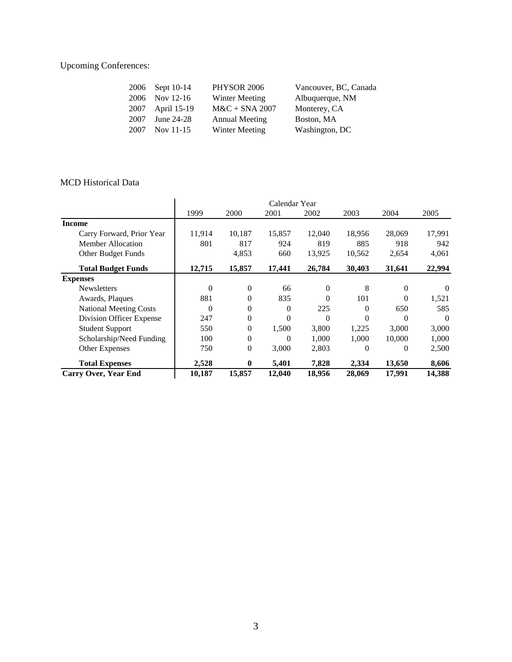# Upcoming Conferences:

|      | 2006 Sept 10-14  | PHYSOR 2006           | Vancouver, BC, Canada |
|------|------------------|-----------------------|-----------------------|
|      | 2006 Nov 12-16   | Winter Meeting        | Albuquerque, NM       |
|      | 2007 April 15-19 | $M&C + SNA 2007$      | Monterey, CA          |
| 2007 | June 24-28       | <b>Annual Meeting</b> | Boston, MA            |
|      | 2007 Nov 11-15   | Winter Meeting        | Washington, DC        |

# MCD Historical Data

|                               |                |          | Calendar Year |          |          |          |          |
|-------------------------------|----------------|----------|---------------|----------|----------|----------|----------|
|                               | 1999           | 2000     | 2001          | 2002     | 2003     | 2004     | 2005     |
| <b>Income</b>                 |                |          |               |          |          |          |          |
| Carry Forward, Prior Year     | 11,914         | 10.187   | 15,857        | 12,040   | 18,956   | 28,069   | 17,991   |
| Member Allocation             | 801            | 817      | 924           | 819      | 885      | 918      | 942      |
| Other Budget Funds            |                | 4,853    | 660           | 13,925   | 10,562   | 2,654    | 4,061    |
| <b>Total Budget Funds</b>     | 12,715         | 15,857   | 17.441        | 26,784   | 30,403   | 31,641   | 22,994   |
| <b>Expenses</b>               |                |          |               |          |          |          |          |
| <b>Newsletters</b>            | $\overline{0}$ | 0        | 66            | $\theta$ | 8        | $\theta$ | $\Omega$ |
| Awards, Plaques               | 881            | 0        | 835           | $\Omega$ | 101      | $\theta$ | 1,521    |
| <b>National Meeting Costs</b> | $\theta$       | 0        | $\Omega$      | 225      | $\Omega$ | 650      | 585      |
| Division Officer Expense      | 247            | 0        | 0             | 0        | $\Omega$ | 0        | $\Omega$ |
| <b>Student Support</b>        | 550            | 0        | 1,500         | 3,800    | 1,225    | 3.000    | 3,000    |
| Scholarship/Need Funding      | 100            | 0        | $\Omega$      | 1,000    | 1,000    | 10,000   | 1,000    |
| Other Expenses                | 750            | $\theta$ | 3,000         | 2,803    | $\Omega$ | $\theta$ | 2,500    |
| <b>Total Expenses</b>         | 2,528          | 0        | 5,401         | 7,828    | 2,334    | 13,650   | 8,606    |
| <b>Carry Over, Year End</b>   | 10,187         | 15,857   | 12,040        | 18,956   | 28,069   | 17,991   | 14,388   |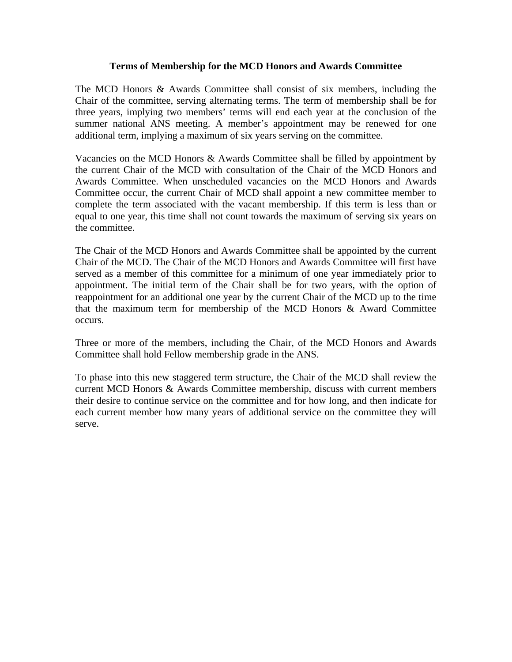#### **Terms of Membership for the MCD Honors and Awards Committee**

The MCD Honors & Awards Committee shall consist of six members, including the Chair of the committee, serving alternating terms. The term of membership shall be for three years, implying two members' terms will end each year at the conclusion of the summer national ANS meeting. A member's appointment may be renewed for one additional term, implying a maximum of six years serving on the committee.

Vacancies on the MCD Honors & Awards Committee shall be filled by appointment by the current Chair of the MCD with consultation of the Chair of the MCD Honors and Awards Committee. When unscheduled vacancies on the MCD Honors and Awards Committee occur, the current Chair of MCD shall appoint a new committee member to complete the term associated with the vacant membership. If this term is less than or equal to one year, this time shall not count towards the maximum of serving six years on the committee.

The Chair of the MCD Honors and Awards Committee shall be appointed by the current Chair of the MCD. The Chair of the MCD Honors and Awards Committee will first have served as a member of this committee for a minimum of one year immediately prior to appointment. The initial term of the Chair shall be for two years, with the option of reappointment for an additional one year by the current Chair of the MCD up to the time that the maximum term for membership of the MCD Honors & Award Committee occurs.

Three or more of the members, including the Chair, of the MCD Honors and Awards Committee shall hold Fellow membership grade in the ANS.

To phase into this new staggered term structure, the Chair of the MCD shall review the current MCD Honors & Awards Committee membership, discuss with current members their desire to continue service on the committee and for how long, and then indicate for each current member how many years of additional service on the committee they will serve.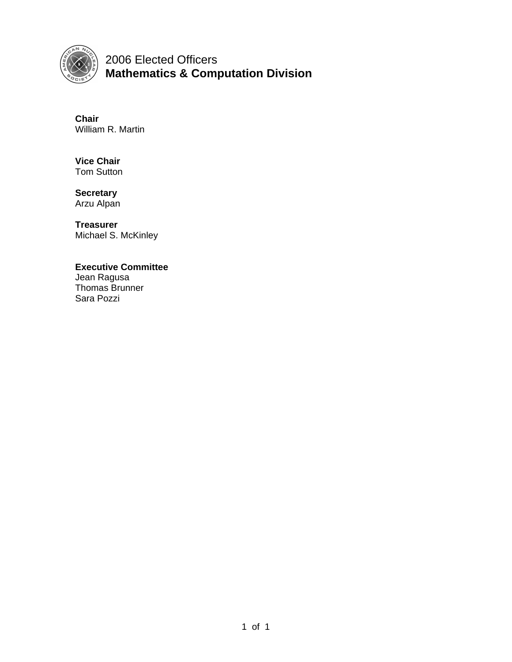

2006 Elected Officers **Mathematics & Computation Division** 

**Chair**  William R. Martin

# **Vice Chair**

Tom Sutton

**Secretary** Arzu Alpan

**Treasurer** Michael S. McKinley

# **Executive Committee**

Jean Ragusa Thomas Brunner Sara Pozzi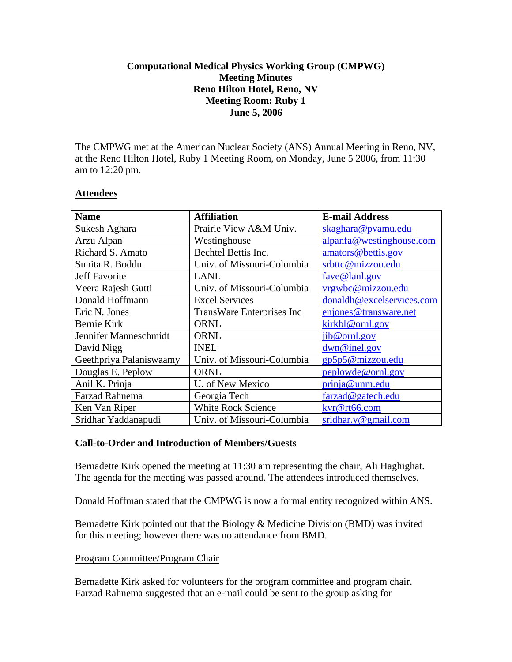# **Computational Medical Physics Working Group (CMPWG) Meeting Minutes Reno Hilton Hotel, Reno, NV Meeting Room: Ruby 1 June 5, 2006**

The CMPWG met at the American Nuclear Society (ANS) Annual Meeting in Reno, NV, at the Reno Hilton Hotel, Ruby 1 Meeting Room, on Monday, June 5 2006, from 11:30 am to 12:20 pm.

## **Attendees**

| <b>Name</b>             | <b>Affiliation</b>         | <b>E-mail Address</b>     |
|-------------------------|----------------------------|---------------------------|
| Sukesh Aghara           | Prairie View A&M Univ.     | skaghara@pvamu.edu        |
| Arzu Alpan              | Westinghouse               | alpanfa@westinghouse.com  |
| Richard S. Amato        | Bechtel Bettis Inc.        | amators@bettis.gov        |
| Sunita R. Boddu         | Univ. of Missouri-Columbia | srbttc@mizzou.edu         |
| Jeff Favorite           | LANL                       | fave@lanl.gov             |
| Veera Rajesh Gutti      | Univ. of Missouri-Columbia | vrgwbc@mizzou.edu         |
| Donald Hoffmann         | <b>Excel Services</b>      | donaldh@excelservices.com |
| Eric N. Jones           | TransWare Enterprises Inc  | enjones@transware.net     |
| <b>Bernie Kirk</b>      | <b>ORNL</b>                | kirkbl@ornl.gov           |
| Jennifer Manneschmidt   | <b>ORNL</b>                | jib@ornl.gov              |
| David Nigg              | <b>INEL</b>                | dwn@inel.gov              |
| Geethpriya Palaniswaamy | Univ. of Missouri-Columbia | gp5p5@mizzou.edu          |
| Douglas E. Peplow       | <b>ORNL</b>                | peplowde@ornl.gov         |
| Anil K. Prinja          | U. of New Mexico           | prinja@unm.edu            |
| Farzad Rahnema          | Georgia Tech               | farzad@gatech.edu         |
| Ken Van Riper           | <b>White Rock Science</b>  | kvr@rt66.com              |
| Sridhar Yaddanapudi     | Univ. of Missouri-Columbia | sridhar.y@gmail.com       |

#### **Call-to-Order and Introduction of Members/Guests**

Bernadette Kirk opened the meeting at 11:30 am representing the chair, Ali Haghighat. The agenda for the meeting was passed around. The attendees introduced themselves.

Donald Hoffman stated that the CMPWG is now a formal entity recognized within ANS.

Bernadette Kirk pointed out that the Biology & Medicine Division (BMD) was invited for this meeting; however there was no attendance from BMD.

# Program Committee/Program Chair

Bernadette Kirk asked for volunteers for the program committee and program chair. Farzad Rahnema suggested that an e-mail could be sent to the group asking for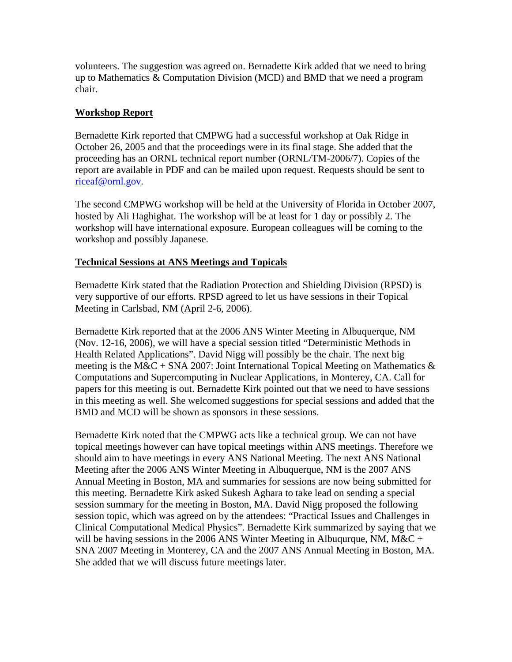volunteers. The suggestion was agreed on. Bernadette Kirk added that we need to bring up to Mathematics & Computation Division (MCD) and BMD that we need a program chair.

# **Workshop Report**

Bernadette Kirk reported that CMPWG had a successful workshop at Oak Ridge in October 26, 2005 and that the proceedings were in its final stage. She added that the proceeding has an ORNL technical report number (ORNL/TM-2006/7). Copies of the report are available in PDF and can be mailed upon request. Requests should be sent to [riceaf@ornl.gov.](mailto:riceaf@ornl.gov)

The second CMPWG workshop will be held at the University of Florida in October 2007, hosted by Ali Haghighat. The workshop will be at least for 1 day or possibly 2. The workshop will have international exposure. European colleagues will be coming to the workshop and possibly Japanese.

## **Technical Sessions at ANS Meetings and Topicals**

Bernadette Kirk stated that the Radiation Protection and Shielding Division (RPSD) is very supportive of our efforts. RPSD agreed to let us have sessions in their Topical Meeting in Carlsbad, NM (April 2-6, 2006).

Bernadette Kirk reported that at the 2006 ANS Winter Meeting in Albuquerque, NM (Nov. 12-16, 2006), we will have a special session titled "Deterministic Methods in Health Related Applications". David Nigg will possibly be the chair. The next big meeting is the M&C + SNA 2007: Joint International Topical Meeting on Mathematics  $\&$ Computations and Supercomputing in Nuclear Applications, in Monterey, CA. Call for papers for this meeting is out. Bernadette Kirk pointed out that we need to have sessions in this meeting as well. She welcomed suggestions for special sessions and added that the BMD and MCD will be shown as sponsors in these sessions.

Bernadette Kirk noted that the CMPWG acts like a technical group. We can not have topical meetings however can have topical meetings within ANS meetings. Therefore we should aim to have meetings in every ANS National Meeting. The next ANS National Meeting after the 2006 ANS Winter Meeting in Albuquerque, NM is the 2007 ANS Annual Meeting in Boston, MA and summaries for sessions are now being submitted for this meeting. Bernadette Kirk asked Sukesh Aghara to take lead on sending a special session summary for the meeting in Boston, MA. David Nigg proposed the following session topic, which was agreed on by the attendees: "Practical Issues and Challenges in Clinical Computational Medical Physics". Bernadette Kirk summarized by saying that we will be having sessions in the 2006 ANS Winter Meeting in Albuqurque, NM,  $M\&C +$ SNA 2007 Meeting in Monterey, CA and the 2007 ANS Annual Meeting in Boston, MA. She added that we will discuss future meetings later.